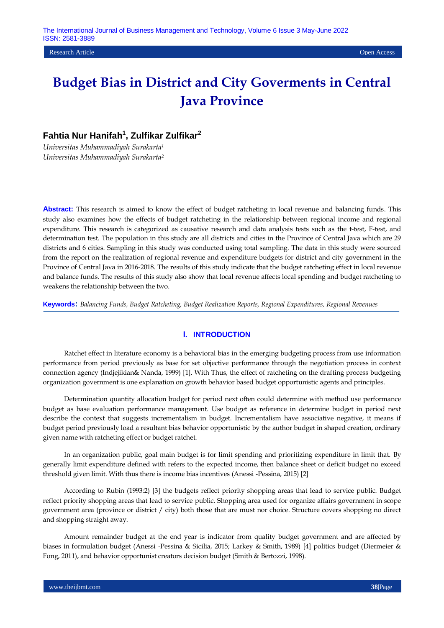**Research Article Open Access Open Access Open Access Open Access Open Access Open Access Open Access Open Access** 

# **Budget Bias in District and City Goverments in Central Java Province**

# **Fahtia Nur Hanifah<sup>1</sup> , Zulfikar Zulfikar<sup>2</sup>**

*Universitas Muhammadiyah Surakarta<sup>1</sup> Universitas Muhammadiyah Surakarta<sup>2</sup>*

**Abstract:** This research is aimed to know the effect of budget ratcheting in local revenue and balancing funds. This study also examines how the effects of budget ratcheting in the relationship between regional income and regional expenditure. This research is categorized as causative research and data analysis tests such as the t-test, F-test, and determination test. The population in this study are all districts and cities in the Province of Central Java which are 29 districts and 6 cities. Sampling in this study was conducted using total sampling. The data in this study were sourced from the report on the realization of regional revenue and expenditure budgets for district and city government in the Province of Central Java in 2016-2018. The results of this study indicate that the budget ratcheting effect in local revenue and balance funds. The results of this study also show that local revenue affects local spending and budget ratcheting to weakens the relationship between the two.

**Keywords:** *Balancing Funds, Budget Ratcheting, Budget Realization Reports, Regional Expenditures, Regional Revenues*

# **I. INTRODUCTION**

Ratchet effect in literature economy is a behavioral bias in the emerging budgeting process from use information performance from period previously as base for set objective performance through the negotiation process in context connection agency (Indjejikian& Nanda, 1999) [1]. With Thus, the effect of ratcheting on the drafting process budgeting organization government is one explanation on growth behavior based budget opportunistic agents and principles.

Determination quantity allocation budget for period next often could determine with method use performance budget as base evaluation performance management. Use budget as reference in determine budget in period next describe the context that suggests incrementalism in budget. Incrementalism have associative negative, it means if budget period previously load a resultant bias behavior opportunistic by the author budget in shaped creation, ordinary given name with ratcheting effect or budget ratchet.

In an organization public, goal main budget is for limit spending and prioritizing expenditure in limit that. By generally limit expenditure defined with refers to the expected income, then balance sheet or deficit budget no exceed threshold given limit. With thus there is income bias incentives (Anessi -Pessina, 2015) [2]

According to Rubin (1993:2) [3] the budgets reflect priority shopping areas that lead to service public. Budget reflect priority shopping areas that lead to service public. Shopping area used for organize affairs government in scope government area (province or district / city) both those that are must nor choice. Structure covers shopping no direct and shopping straight away.

Amount remainder budget at the end year is indicator from quality budget government and are affected by biases in formulation budget (Anessi -Pessina & Sicilia, 2015; Larkey & Smith, 1989) [4] politics budget (Diermeier & Fong, 2011), and behavior opportunist creators decision budget (Smith & Bertozzi, 1998).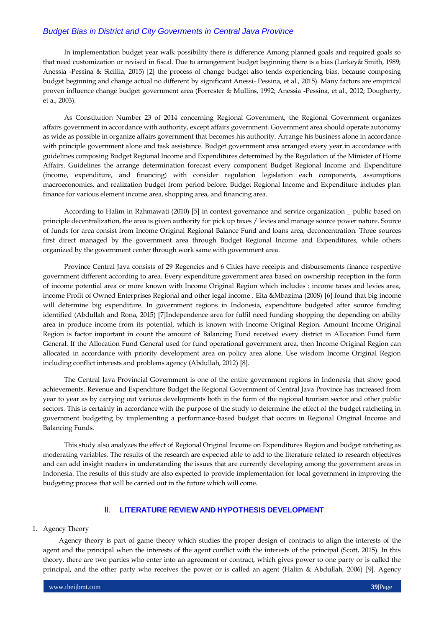In implementation budget year walk possibility there is difference Among planned goals and required goals so that need customization or revised in fiscal. Due to arrangement budget beginning there is a bias (Larkey& Smith, 1989; Anessia -Pessina & Sicillia, 2015) [2] the process of change budget also tends experiencing bias, because composing budget beginning and change actual no different by significant Anessi- Pessina, et al., 2015). Many factors are empirical proven influence change budget government area (Forrester & Mullins, 1992; Anessia -Pessina, et al., 2012; Dougherty, et a., 2003).

As Constitution Number 23 of 2014 concerning Regional Government, the Regional Government organizes affairs government in accordance with authority, except affairs government. Government area should operate autonomy as wide as possible in organize affairs government that becomes his authority. Arrange his business alone in accordance with principle government alone and task assistance. Budget government area arranged every year in accordance with guidelines composing Budget Regional Income and Expenditures determined by the Regulation of the Minister of Home Affairs. Guidelines the arrange determination forecast every component Budget Regional Income and Expenditure (income, expenditure, and financing) with consider regulation legislation each components, assumptions macroeconomics, and realization budget from period before. Budget Regional Income and Expenditure includes plan finance for various element income area, shopping area, and financing area.

According to Halim in Rahmawati (2010) [5] in context governance and service organization \_ public based on principle decentralization, the area is given authority for pick up taxes / levies and manage source power nature. Source of funds for area consist from Income Original Regional Balance Fund and loans area, deconcentration. Three sources first direct managed by the government area through Budget Regional Income and Expenditures, while others organized by the government center through work same with government area.

Province Central Java consists of 29 Regencies and 6 Cities have receipts and disbursements finance respective government different according to area. Every expenditure government area based on ownership reception in the form of income potential area or more known with Income Original Region which includes : income taxes and levies area, income Profit of Owned Enterprises Regional and other legal income . Eita &Mbazima (2008) [6] found that big income will determine big expenditure. In government regions in Indonesia, expenditure budgeted after source funding identified (Abdullah and Rona, 2015) [7]Independence area for fulfil need funding shopping the depending on ability area in produce income from its potential, which is known with Income Original Region. Amount Income Original Region is factor important in count the amount of Balancing Fund received every district in Allocation Fund form General. If the Allocation Fund General used for fund operational government area, then Income Original Region can allocated in accordance with priority development area on policy area alone. Use wisdom Income Original Region including conflict interests and problems agency (Abdullah, 2012) [8].

The Central Java Provincial Government is one of the entire government regions in Indonesia that show good achievements. Revenue and Expenditure Budget the Regional Government of Central Java Province has increased from year to year as by carrying out various developments both in the form of the regional tourism sector and other public sectors. This is certainly in accordance with the purpose of the study to determine the effect of the budget ratcheting in government budgeting by implementing a performance-based budget that occurs in Regional Original Income and Balancing Funds.

This study also analyzes the effect of Regional Original Income on Expenditures Region and budget ratcheting as moderating variables. The results of the research are expected able to add to the literature related to research objectives and can add insight readers in understanding the issues that are currently developing among the government areas in Indonesia. The results of this study are also expected to provide implementation for local government in improving the budgeting process that will be carried out in the future which will come.

# II. **LITERATURE REVIEW AND HYPOTHESIS DEVELOPMENT**

### 1. Agency Theory

Agency theory is part of game theory which studies the proper design of contracts to align the interests of the agent and the principal when the interests of the agent conflict with the interests of the principal (Scott, 2015). In this theory, there are two parties who enter into an agreement or contract, which gives power to one party or is called the principal, and the other party who receives the power or is called an agent (Halim & Abdullah, 2006) [9]. Agency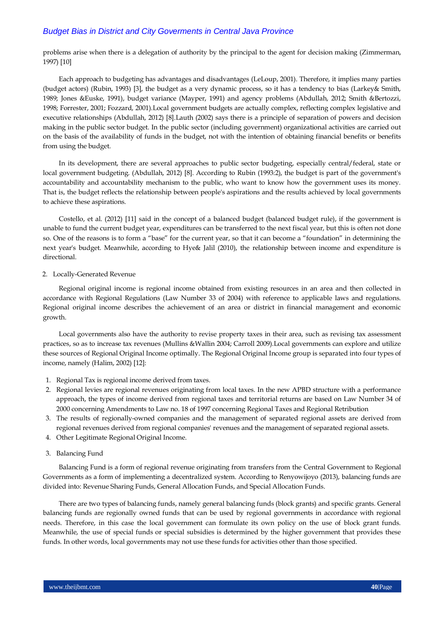problems arise when there is a delegation of authority by the principal to the agent for decision making (Zimmerman, 1997) [10]

Each approach to budgeting has advantages and disadvantages (LeLoup, 2001). Therefore, it implies many parties (budget actors) (Rubin, 1993) [3], the budget as a very dynamic process, so it has a tendency to bias (Larkey& Smith, 1989; Jones &Euske, 1991), budget variance (Mayper, 1991) and agency problems (Abdullah, 2012; Smith &Bertozzi, 1998; Forrester, 2001; Fozzard, 2001).Local government budgets are actually complex, reflecting complex legislative and executive relationships (Abdullah, 2012) [8].Lauth (2002) says there is a principle of separation of powers and decision making in the public sector budget. In the public sector (including government) organizational activities are carried out on the basis of the availability of funds in the budget, not with the intention of obtaining financial benefits or benefits from using the budget.

In its development, there are several approaches to public sector budgeting, especially central/federal, state or local government budgeting. (Abdullah, 2012) [8]. According to Rubin (1993:2), the budget is part of the government's accountability and accountability mechanism to the public, who want to know how the government uses its money. That is, the budget reflects the relationship between people's aspirations and the results achieved by local governments to achieve these aspirations.

Costello, et al. (2012) [11] said in the concept of a balanced budget (balanced budget rule), if the government is unable to fund the current budget year, expenditures can be transferred to the next fiscal year, but this is often not done so. One of the reasons is to form a "base" for the current year, so that it can become a "foundation" in determining the next year's budget. Meanwhile, according to Hye& Jalil (2010), the relationship between income and expenditure is directional.

### 2. Locally-Generated Revenue

Regional original income is regional income obtained from existing resources in an area and then collected in accordance with Regional Regulations (Law Number 33 of 2004) with reference to applicable laws and regulations. Regional original income describes the achievement of an area or district in financial management and economic growth.

Local governments also have the authority to revise property taxes in their area, such as revising tax assessment practices, so as to increase tax revenues (Mullins &Wallin 2004; Carroll 2009).Local governments can explore and utilize these sources of Regional Original Income optimally. The Regional Original Income group is separated into four types of income, namely (Halim, 2002) [12]:

- 1. Regional Tax is regional income derived from taxes.
- 2. Regional levies are regional revenues originating from local taxes. In the new APBD structure with a performance approach, the types of income derived from regional taxes and territorial returns are based on Law Number 34 of 2000 concerning Amendments to Law no. 18 of 1997 concerning Regional Taxes and Regional Retribution
- 3. The results of regionally-owned companies and the management of separated regional assets are derived from regional revenues derived from regional companies' revenues and the management of separated regional assets.
- 4. Other Legitimate Regional Original Income.
- 3. Balancing Fund

Balancing Fund is a form of regional revenue originating from transfers from the Central Government to Regional Governments as a form of implementing a decentralized system. According to Renyowijoyo (2013), balancing funds are divided into: Revenue Sharing Funds, General Allocation Funds, and Special Allocation Funds.

There are two types of balancing funds, namely general balancing funds (block grants) and specific grants. General balancing funds are regionally owned funds that can be used by regional governments in accordance with regional needs. Therefore, in this case the local government can formulate its own policy on the use of block grant funds. Meanwhile, the use of special funds or special subsidies is determined by the higher government that provides these funds. In other words, local governments may not use these funds for activities other than those specified.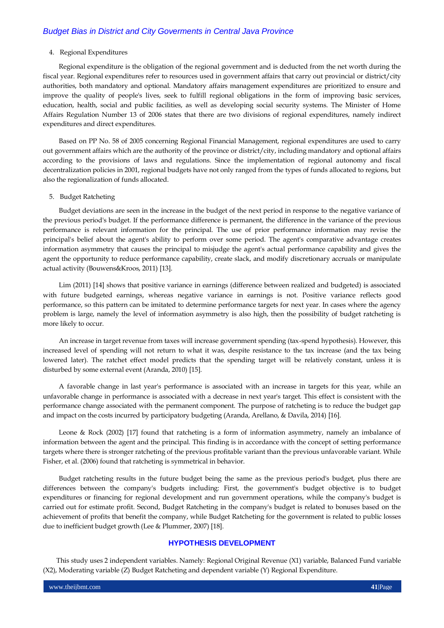### 4. Regional Expenditures

Regional expenditure is the obligation of the regional government and is deducted from the net worth during the fiscal year. Regional expenditures refer to resources used in government affairs that carry out provincial or district/city authorities, both mandatory and optional. Mandatory affairs management expenditures are prioritized to ensure and improve the quality of people's lives, seek to fulfill regional obligations in the form of improving basic services, education, health, social and public facilities, as well as developing social security systems. The Minister of Home Affairs Regulation Number 13 of 2006 states that there are two divisions of regional expenditures, namely indirect expenditures and direct expenditures.

Based on PP No. 58 of 2005 concerning Regional Financial Management, regional expenditures are used to carry out government affairs which are the authority of the province or district/city, including mandatory and optional affairs according to the provisions of laws and regulations. Since the implementation of regional autonomy and fiscal decentralization policies in 2001, regional budgets have not only ranged from the types of funds allocated to regions, but also the regionalization of funds allocated.

### 5. Budget Ratcheting

Budget deviations are seen in the increase in the budget of the next period in response to the negative variance of the previous period's budget. If the performance difference is permanent, the difference in the variance of the previous performance is relevant information for the principal. The use of prior performance information may revise the principal's belief about the agent's ability to perform over some period. The agent's comparative advantage creates information asymmetry that causes the principal to misjudge the agent's actual performance capability and gives the agent the opportunity to reduce performance capability, create slack, and modify discretionary accruals or manipulate actual activity (Bouwens&Kroos, 2011) [13].

Lim (2011) [14] shows that positive variance in earnings (difference between realized and budgeted) is associated with future budgeted earnings, whereas negative variance in earnings is not. Positive variance reflects good performance, so this pattern can be imitated to determine performance targets for next year. In cases where the agency problem is large, namely the level of information asymmetry is also high, then the possibility of budget ratcheting is more likely to occur.

An increase in target revenue from taxes will increase government spending (tax-spend hypothesis). However, this increased level of spending will not return to what it was, despite resistance to the tax increase (and the tax being lowered later). The ratchet effect model predicts that the spending target will be relatively constant, unless it is disturbed by some external event (Aranda, 2010) [15].

A favorable change in last year's performance is associated with an increase in targets for this year, while an unfavorable change in performance is associated with a decrease in next year's target. This effect is consistent with the performance change associated with the permanent component. The purpose of ratcheting is to reduce the budget gap and impact on the costs incurred by participatory budgeting (Aranda, Arellano, & Davila, 2014) [16].

Leone & Rock (2002) [17] found that ratcheting is a form of information asymmetry, namely an imbalance of information between the agent and the principal. This finding is in accordance with the concept of setting performance targets where there is stronger ratcheting of the previous profitable variant than the previous unfavorable variant. While Fisher, et al. (2006) found that ratcheting is symmetrical in behavior.

Budget ratcheting results in the future budget being the same as the previous period's budget, plus there are differences between the company's budgets including: First, the government's budget objective is to budget expenditures or financing for regional development and run government operations, while the company's budget is carried out for estimate profit. Second, Budget Ratcheting in the company's budget is related to bonuses based on the achievement of profits that benefit the company, while Budget Ratcheting for the government is related to public losses due to inefficient budget growth (Lee & Plummer, 2007) [18].

# **HYPOTHESIS DEVELOPMENT**

This study uses 2 independent variables. Namely: Regional Original Revenue (X1) variable, Balanced Fund variable (X2), Moderating variable (Z) Budget Ratcheting and dependent variable (Y) Regional Expenditure.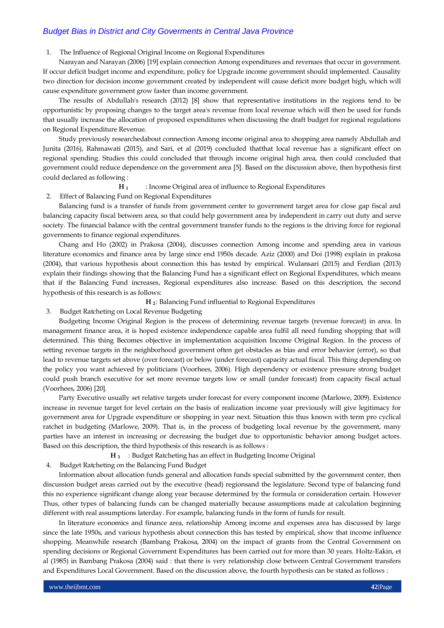### 1. The Influence of Regional Original Income on Regional Expenditures

Narayan and Narayan (2006) [19] explain connection Among expenditures and revenues that occur in government. If occur deficit budget income and expenditure, policy for Upgrade income government should implemented. Causality two direction for decision income government created by independent will cause deficit more budget high, which will cause expenditure government grow faster than income government.

The results of Abdullah's research (2012) [8] show that representative institutions in the regions tend to be opportunistic by proposing changes to the target area's revenue from local revenue which will then be used for funds that usually increase the allocation of proposed expenditures when discussing the draft budget for regional regulations on Regional Expenditure Revenue.

Study previously researchedabout connection Among income original area to shopping area namely Abdullah and Junita (2016), Rahmawati (2015), and Sari, et al (2019) concluded thatthat local revenue has a significant effect on regional spending. Studies this could concluded that through income original high area, then could concluded that government could reduce dependence on the government area [5]. Based on the discussion above, then hypothesis first could declared as following :

### **H 1** : Income Original area of influence to Regional Expenditures

2. Effect of Balancing Fund on Regional Expenditures

Balancing fund is a transfer of funds from government center to government target area for close gap fiscal and balancing capacity fiscal between area, so that could help government area by independent in carry out duty and serve society. The financial balance with the central government transfer funds to the regions is the driving force for regional governments to finance regional expenditures.

Chang and Ho (2002) in Prakosa (2004), discusses connection Among income and spending area in various literature economics and finance area by large since end 1950s decade. Aziz (2000) and Doi (1998) explain in prakosa (2004), that various hypothesis about connection this has tested by empirical. Wulansari (2015) and Ferdian (2013) explain their findings showing that the Balancing Fund has a significant effect on Regional Expenditures, which means that if the Balancing Fund increases, Regional expenditures also increase. Based on this description, the second hypothesis of this research is as follows:

**H 2**: Balancing Fund influential to Regional Expenditures

3. Budget Ratcheting on Local Revenue Budgeting

Budgeting Income Original Region is the process of determining revenue targets (revenue forecast) in area. In management finance area, it is hoped existence independence capable area fulfil all need funding shopping that will determined. This thing Becomes objective in implementation acquisition Income Original Region. In the process of setting revenue targets in the neighborhood government often get obstacles as bias and error behavior (error), so that lead to revenue targets set above (over forecast) or below (under forecast) capacity actual fiscal. This thing depending on the policy you want achieved by politicians (Voorhees, 2006). High dependency or existence pressure strong budget could push branch executive for set more revenue targets low or small (under forecast) from capacity fiscal actual (Voorhees, 2006) [20].

Party Executive usually set relative targets under forecast for every component income (Marlowe, 2009). Existence increase in revenue target for level certain on the basis of realization income year previously will give legitimacy for government area for Upgrade expenditure or shopping in year next. Situation this thus known with term pro cyclical ratchet in budgeting (Marlowe, 2009). That is, in the process of budgeting local revenue by the government, many parties have an interest in increasing or decreasing the budget due to opportunistic behavior among budget actors. Based on this description, the third hypothesis of this research is as follows :

**H 3** : Budget Ratcheting has an effect in Budgeting Income Original

4. Budget Ratcheting on the Balancing Fund Budget

Information about allocation funds general and allocation funds special submitted by the government center, then discussion budget areas carried out by the executive (head) regionsand the legislature. Second type of balancing fund this no experience significant change along year because determined by the formula or consideration certain. However Thus, other types of balancing funds can be changed materially because assumptions made at calculation beginning different with real assumptions laterday. For example, balancing funds in the form of funds for result.

In literature economics and finance area, relationship Among income and expenses area has discussed by large since the late 1950s, and various hypothesis about connection this has tested by empirical, show that income influence shopping. Meanwhile research (Bambang Prakosa, 2004) on the impact of grants from the Central Government on spending decisions or Regional Government Expenditures has been carried out for more than 30 years. Holtz-Eakin, et al (1985) in Bambang Prakosa (2004) said : that there is very relationship close between Central Government transfers and Expenditures Local Government. Based on the discussion above, the fourth hypothesis can be stated as follows :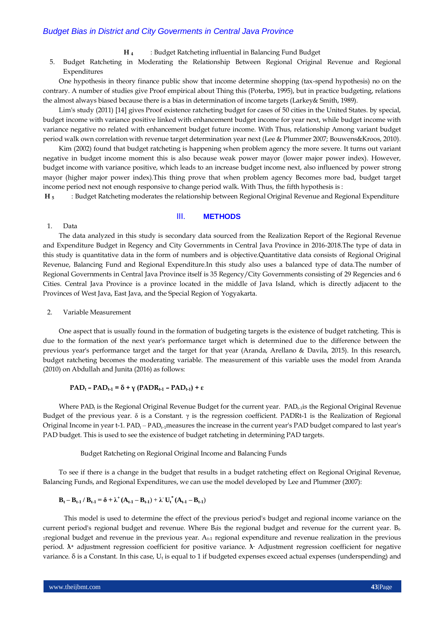- **H 4** : Budget Ratcheting influential in Balancing Fund Budget
- 5. Budget Ratcheting in Moderating the Relationship Between Regional Original Revenue and Regional Expenditures

One hypothesis in theory finance public show that income determine shopping (tax-spend hypothesis) no on the contrary. A number of studies give Proof empirical about Thing this (Poterba, 1995), but in practice budgeting, relations the almost always biased because there is a bias in determination of income targets (Larkey& Smith, 1989).

Lim's study (2011) [14] gives Proof existence ratcheting budget for cases of 50 cities in the United States. by special, budget income with variance positive linked with enhancement budget income for year next, while budget income with variance negative no related with enhancement budget future income. With Thus, relationship Among variant budget period walk own correlation with revenue target determination year next (Lee & Plummer 2007; Bouwens&Kroos, 2010).

Kim (2002) found that budget ratcheting is happening when problem agency the more severe. It turns out variant negative in budget income moment this is also because weak power mayor (lower major power index). However, budget income with variance positive, which leads to an increase budget income next, also influenced by power strong mayor (higher major power index).This thing prove that when problem agency Becomes more bad, budget target income period next not enough responsive to change period walk. With Thus, the fifth hypothesis is :

**H 5** : Budget Ratcheting moderates the relationship between Regional Original Revenue and Regional Expenditure

### III. **METHODS**

### 1. Data

The data analyzed in this study is secondary data sourced from the Realization Report of the Regional Revenue and Expenditure Budget in Regency and City Governments in Central Java Province in 2016-2018.The type of data in this study is quantitative data in the form of numbers and is objective.Quantitative data consists of Regional Original Revenue, Balancing Fund and Regional Expenditure.In this study also uses a balanced type of data.The number of Regional Governments in Central Java Province itself is 35 Regency/City Governments consisting of 29 Regencies and 6 Cities. Central Java Province is a province located in the middle of Java Island, which is directly adjacent to the Provinces of West Java, East Java, and the Special Region of Yogyakarta.

2. Variable Measurement

One aspect that is usually found in the formation of budgeting targets is the existence of budget ratcheting. This is due to the formation of the next year's performance target which is determined due to the difference between the previous year's performance target and the target for that year (Aranda, Arellano & Davila, 2015). In this research, budget ratcheting becomes the moderating variable. The measurement of this variable uses the model from Aranda (2010) on Abdullah and Junita (2016) as follows:

# $\text{PAD}_t$  **–**  $\text{PAD}_{t-1} = \delta + \gamma (\text{PADR}_{t-1} - \text{PAD}_{t-1}) + \varepsilon$

Where PAD<sub>t</sub> is the Regional Original Revenue Budget for the current year. PAD<sub>t-1</sub>is the Regional Original Revenue Budget of the previous year. δ is a Constant. γ is the regression coefficient. PADRt-1 is the Realization of Regional Original Income in year t-1.  $PAD_t - PAD_{t-1}$  measures the increase in the current year's  $PAD$  budget compared to last year's PAD budget. This is used to see the existence of budget ratcheting in determining PAD targets.

Budget Ratcheting on Regional Original Income and Balancing Funds

To see if there is a change in the budget that results in a budget ratcheting effect on Regional Original Revenue, Balancing Funds, and Regional Expenditures, we can use the model developed by Lee and Plummer (2007):

$$
B_{t} - B_{t\text{-}1} / B_{t\text{-}1} = \delta + \lambda^{+} (A_{t\text{-}1} - B_{t\text{-}1}) + \lambda^{+} U_{t}^{*} (A_{t\text{-}1} - B_{t\text{-}1})
$$

This model is used to determine the effect of the previous period's budget and regional income variance on the current period's regional budget and revenue. Where  $B_t$  is the regional budget and revenue for the current year.  $B_t$ <sub>1</sub> regional budget and revenue in the previous year. A<sub>t-1</sub> regional expenditure and revenue realization in the previous period. **λ<sup>+</sup>** adjustment regression coefficient for positive variance. **λ-** Adjustment regression coefficient for negative variance.  $\delta$  is a Constant. In this case,  $U_t$  is equal to 1 if budgeted expenses exceed actual expenses (underspending) and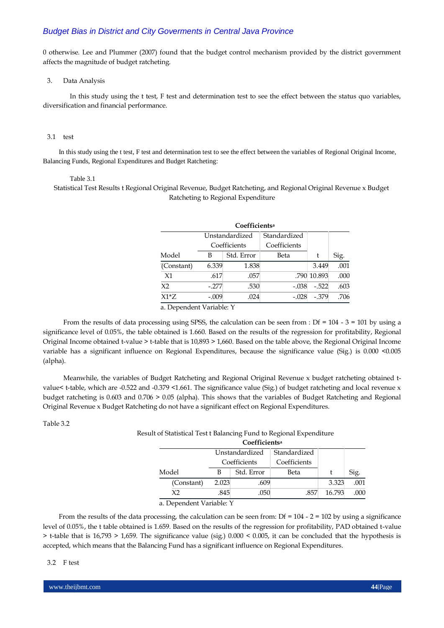0 otherwise. Lee and Plummer (2007) found that the budget control mechanism provided by the district government affects the magnitude of budget ratcheting.

### 3. Data Analysis

In this study using the t test, F test and determination test to see the effect between the status quo variables, diversification and financial performance.

### 3.1 test

In this study using the t test, F test and determination test to see the effect between the variables of Regional Original Income, Balancing Funds, Regional Expenditures and Budget Ratcheting:

#### Table 3.1

Statistical Test Results t Regional Original Revenue, Budget Ratcheting, and Regional Original Revenue x Budget Ratcheting to Regional Expenditure

| Coefficients <sup>a</sup> |                |              |              |             |      |
|---------------------------|----------------|--------------|--------------|-------------|------|
|                           | Unstandardized |              | Standardized |             |      |
|                           |                | Coefficients | Coefficients |             |      |
| Model                     | В              | Std. Error   | Beta         | t           | Sig. |
| (Constant)                | 6.339          | 1.838        |              | 3.449       | .001 |
| X1                        | .617           | .057         |              | .790 10.893 | .000 |
| X <sub>2</sub>            | $-.277$        | .530         | $-.038$      | $-522$      | .603 |
| $X1*Z$                    | $-.009$        | .024         | $-.028$      | $-379$      | .706 |

a. Dependent Variable: Y

From the results of data processing using SPSS, the calculation can be seen from : Df =  $104 - 3 = 101$  by using a significance level of 0.05%, the table obtained is 1.660. Based on the results of the regression for profitability, Regional Original Income obtained t-value > t-table that is 10,893 > 1,660. Based on the table above, the Regional Original Income variable has a significant influence on Regional Expenditures, because the significance value (Sig.) is 0.000 <0.005 (alpha).

Meanwhile, the variables of Budget Ratcheting and Regional Original Revenue x budget ratcheting obtained tvalue< t-table, which are -0.522 and -0.379 <1.661. The significance value (Sig.) of budget ratcheting and local revenue x budget ratcheting is 0.603 and 0.706 > 0.05 (alpha). This shows that the variables of Budget Ratcheting and Regional Original Revenue x Budget Ratcheting do not have a significant effect on Regional Expenditures.

Table 3.2

Result of Statistical Test t Balancing Fund to Regional Expenditure

|                |                | Coefficients <sup>a</sup> |              |        |      |
|----------------|----------------|---------------------------|--------------|--------|------|
|                | Unstandardized |                           | Standardized |        |      |
|                | Coefficients   |                           | Coefficients |        |      |
| Model          |                | Std. Error                | Beta         |        | Sig. |
| (Constant)     | 2.023          | .609                      |              | 3.323  | .001 |
| X <sub>2</sub> | .845           | .050                      | .857         | 16.793 | .000 |
|                |                |                           |              |        |      |

a. Dependent Variable: Y

From the results of the data processing, the calculation can be seen from:  $Df = 104 - 2 = 102$  by using a significance level of 0.05%, the t table obtained is 1.659. Based on the results of the regression for profitability, PAD obtained t-value > t-table that is 16,793 > 1,659. The significance value (sig.) 0.000 < 0.005, it can be concluded that the hypothesis is accepted, which means that the Balancing Fund has a significant influence on Regional Expenditures.

### 3.2 F test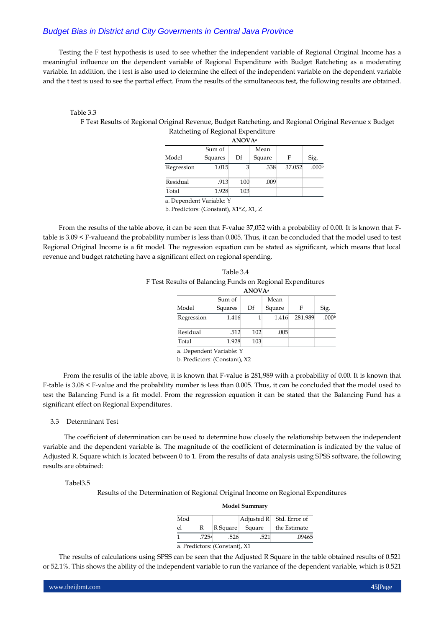Testing the F test hypothesis is used to see whether the independent variable of Regional Original Income has a meaningful influence on the dependent variable of Regional Expenditure with Budget Ratcheting as a moderating variable. In addition, the t test is also used to determine the effect of the independent variable on the dependent variable and the t test is used to see the partial effect. From the results of the simultaneous test, the following results are obtained.

# Table 3.3

F Test Results of Regional Original Revenue, Budget Ratcheting, and Regional Original Revenue x Budget

| Ratcheting of Regional Expenditure             |         |     |        |        |                   |  |  |
|------------------------------------------------|---------|-----|--------|--------|-------------------|--|--|
| <b>ANOVA</b> <sup>a</sup>                      |         |     |        |        |                   |  |  |
| Sum of<br>Mean                                 |         |     |        |        |                   |  |  |
| Model                                          | Squares | Df  | Square | F      | Sig.              |  |  |
| Regression                                     | 1.015   | 3   | .338   | 37.052 | .000 <sub>b</sub> |  |  |
| Residual                                       | .913    | 100 | .009   |        |                   |  |  |
| Total                                          | 1.928   | 103 |        |        |                   |  |  |
| $\mathbb{R}$ 1.0 $\mathbb{R}$ 1.1 $\mathbb{R}$ |         |     |        |        |                   |  |  |

a. Dependent Variable: Y

b. Predictors: (Constant), X1\*Z, X1, Z

From the results of the table above, it can be seen that F-value 37,052 with a probability of 0.00. It is known that Ftable is 3.09 < F-valueand the probability number is less than 0.005. Thus, it can be concluded that the model used to test Regional Original Income is a fit model. The regression equation can be stated as significant, which means that local revenue and budget ratcheting have a significant effect on regional spending.

| Table 3.4                                                  |
|------------------------------------------------------------|
| F Test Results of Balancing Funds on Regional Expenditures |
| ATOTIA                                                     |

| ANUV Aª                                                            |         |     |        |         |                   |  |  |
|--------------------------------------------------------------------|---------|-----|--------|---------|-------------------|--|--|
|                                                                    | Sum of  |     | Mean   |         |                   |  |  |
| Model                                                              | Squares | Df  | Square | F       | Sig.              |  |  |
| Regression                                                         | 1.416   |     | 1.416  | 281.989 | .000 <sup>b</sup> |  |  |
| Residual                                                           | .512    | 102 | .005   |         |                   |  |  |
| Total                                                              | 1.928   | 103 |        |         |                   |  |  |
| $\sim$ Denoted that $U_{\rm{c}}$ and $U_{\rm{c}}$ and $U_{\rm{c}}$ |         |     |        |         |                   |  |  |

a. Dependent Variable: Y

b. Predictors: (Constant), X2

From the results of the table above, it is known that F-value is 281,989 with a probability of 0.00. It is known that F-table is 3.08 < F-value and the probability number is less than 0.005. Thus, it can be concluded that the model used to test the Balancing Fund is a fit model. From the regression equation it can be stated that the Balancing Fund has a significant effect on Regional Expenditures.

# 3.3 Determinant Test

The coefficient of determination can be used to determine how closely the relationship between the independent variable and the dependent variable is. The magnitude of the coefficient of determination is indicated by the value of Adjusted R. Square which is located between 0 to 1. From the results of data analysis using SPSS software, the following results are obtained:

### Tabel3.5

Results of the Determination of Regional Original Income on Regional Expenditures

| <b>IVLUUCI JUHHHAL V</b>      |      |          |        |                                                |  |  |
|-------------------------------|------|----------|--------|------------------------------------------------|--|--|
| Mod                           |      |          |        | $\text{Adjusted } R \mid \text{Std. Error of}$ |  |  |
| el                            | R    | R Square | Square | the Estimate                                   |  |  |
|                               | 725a | .526     | .521   | .09465                                         |  |  |
| a. Predictors: (Constant), X1 |      |          |        |                                                |  |  |

**Model Summary**

The results of calculations using SPSS can be seen that the Adjusted R Square in the table obtained results of 0.521 or 52.1%. This shows the ability of the independent variable to run the variance of the dependent variable, which is 0.521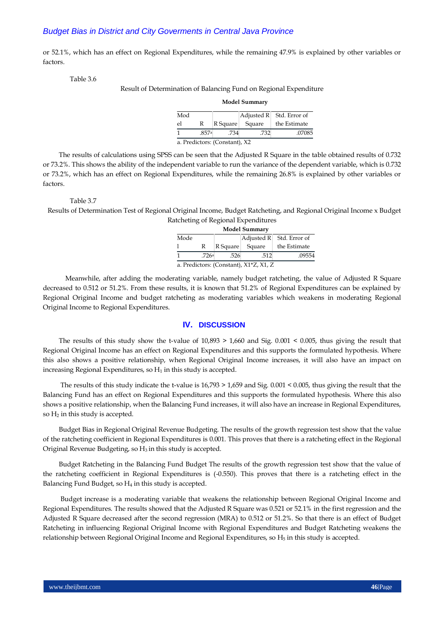or 52.1%, which has an effect on Regional Expenditures, while the remaining 47.9% is explained by other variables or factors.

Table 3.6

Result of Determination of Balancing Fund on Regional Expenditure

**Model Summary**

| Mod                           |       |          |        | $\left  \text{Adjusted R} \right $ Std. Error of |  |
|-------------------------------|-------|----------|--------|--------------------------------------------------|--|
| el                            | R     | R Square | Square | the Estimate                                     |  |
|                               | .857a | 734      | .732   | .07085                                           |  |
| a. Predictors: (Constant), X2 |       |          |        |                                                  |  |

The results of calculations using SPSS can be seen that the Adjusted R Square in the table obtained results of 0.732 or 73.2%. This shows the ability of the independent variable to run the variance of the dependent variable, which is 0.732 or 73.2%, which has an effect on Regional Expenditures, while the remaining 26.8% is explained by other variables or factors.

### Table 3.7

Results of Determination Test of Regional Original Income, Budget Ratcheting, and Regional Original Income x Budget Ratcheting of Regional Expenditures

| <b>Model Summary</b>                   |   |          |        |                            |  |  |
|----------------------------------------|---|----------|--------|----------------------------|--|--|
| Mode                                   |   |          |        | Adjusted $R$ Std. Error of |  |  |
|                                        | R | R Square | Square | the Estimate               |  |  |
| 726a<br>.09554<br>.526<br>.512         |   |          |        |                            |  |  |
| a. Predictors: (Constant), X1*Z, X1, Z |   |          |        |                            |  |  |

Meanwhile, after adding the moderating variable, namely budget ratcheting, the value of Adjusted R Square decreased to 0.512 or 51.2%. From these results, it is known that 51.2% of Regional Expenditures can be explained by Regional Original Income and budget ratcheting as moderating variables which weakens in moderating Regional Original Income to Regional Expenditures.

## **IV. DISCUSSION**

The results of this study show the t-value of  $10,893 > 1,660$  and Sig.  $0.001 \le 0.005$ , thus giving the result that Regional Original Income has an effect on Regional Expenditures and this supports the formulated hypothesis. Where this also shows a positive relationship, when Regional Original Income increases, it will also have an impact on increasing Regional Expenditures, so  $H_1$  in this study is accepted.

The results of this study indicate the t-value is 16,793 > 1,659 and Sig. 0.001 < 0.005, thus giving the result that the Balancing Fund has an effect on Regional Expenditures and this supports the formulated hypothesis. Where this also shows a positive relationship, when the Balancing Fund increases, it will also have an increase in Regional Expenditures, so  $H_2$  in this study is accepted.

Budget Bias in Regional Original Revenue Budgeting. The results of the growth regression test show that the value of the ratcheting coefficient in Regional Expenditures is 0.001. This proves that there is a ratcheting effect in the Regional Original Revenue Budgeting, so  $H_3$  in this study is accepted.

Budget Ratcheting in the Balancing Fund Budget The results of the growth regression test show that the value of the ratcheting coefficient in Regional Expenditures is (-0.550). This proves that there is a ratcheting effect in the Balancing Fund Budget, so H<sup>4</sup> in this study is accepted.

Budget increase is a moderating variable that weakens the relationship between Regional Original Income and Regional Expenditures. The results showed that the Adjusted R Square was 0.521 or 52.1% in the first regression and the Adjusted R Square decreased after the second regression (MRA) to 0.512 or 51.2%. So that there is an effect of Budget Ratcheting in influencing Regional Original Income with Regional Expenditures and Budget Ratcheting weakens the relationship between Regional Original Income and Regional Expenditures, so  $H_5$  in this study is accepted.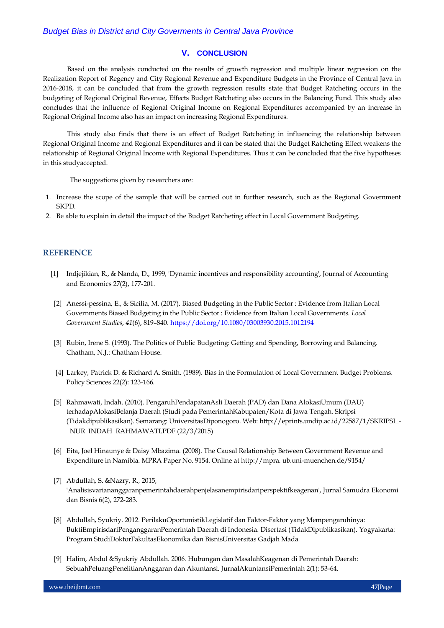# **V. CONCLUSION**

Based on the analysis conducted on the results of growth regression and multiple linear regression on the Realization Report of Regency and City Regional Revenue and Expenditure Budgets in the Province of Central Java in 2016-2018, it can be concluded that from the growth regression results state that Budget Ratcheting occurs in the budgeting of Regional Original Revenue, Effects Budget Ratcheting also occurs in the Balancing Fund. This study also concludes that the influence of Regional Original Income on Regional Expenditures accompanied by an increase in Regional Original Income also has an impact on increasing Regional Expenditures.

This study also finds that there is an effect of Budget Ratcheting in influencing the relationship between Regional Original Income and Regional Expenditures and it can be stated that the Budget Ratcheting Effect weakens the relationship of Regional Original Income with Regional Expenditures. Thus it can be concluded that the five hypotheses in this studyaccepted.

The suggestions given by researchers are:

- 1. Increase the scope of the sample that will be carried out in further research, such as the Regional Government SKPD.
- 2. Be able to explain in detail the impact of the Budget Ratcheting effect in Local Government Budgeting.

# **REFERENCE**

- [1] Indjejikian, R., & Nanda, D., 1999, 'Dynamic incentives and responsibility accounting', Journal of Accounting and Economics 27(2), 177-201.
- [2] Anessi-pessina, E., & Sicilia, M. (2017). Biased Budgeting in the Public Sector : Evidence from Italian Local Governments Biased Budgeting in the Public Sector : Evidence from Italian Local Governments. *Local Government Studies*, *41*(6), 819–840[. https://doi.org/10.1080/03003930.2015.1012194](https://doi.org/10.1080/03003930.2015.1012194)
- [3] Rubin, Irene S. (1993). The Politics of Public Budgeting: Getting and Spending, Borrowing and Balancing. Chatham, N.J.: Chatham House.
- [4] Larkey, Patrick D. & Richard A. Smith. (1989). Bias in the Formulation of Local Government Budget Problems. Policy Sciences 22(2): 123-166.
- [5] Rahmawati, Indah. (2010). PengaruhPendapatanAsli Daerah (PAD) dan Dana AlokasiUmum (DAU) terhadapAlokasiBelanja Daerah (Studi pada PemerintahKabupaten/Kota di Jawa Tengah. Skripsi (Tidakdipublikasikan). Semarang: UniversitasDiponogoro. Web: http://eprints.undip.ac.id/22587/1/SKRIPSI\_- \_NUR\_INDAH\_RAHMAWATI.PDF (22/3/2015)
- [6] Eita, Joel Hinaunye & Daisy Mbazima. (2008). The Causal Relationship Between Government Revenue and Expenditure in Namibia. MPRA Paper No. 9154. Online at http://mpra. ub.uni-muenchen.de/9154/
- [7] Abdullah, S. &Nazry, R., 2015, 'Analisisvariananggaranpemerintahdaerahpenjelasanempirisdariperspektifkeagenan', Jurnal Samudra Ekonomi dan Bisnis 6(2), 272-283.
- [8] Abdullah, Syukriy. 2012. PerilakuOportunistikLegislatif dan Faktor-Faktor yang Mempengaruhinya: BuktiEmpirisdariPenganggaranPemerintah Daerah di Indonesia. Disertasi (TidakDipublikasikan). Yogyakarta: Program StudiDoktorFakultasEkonomika dan BisnisUniversitas Gadjah Mada.
- [9] Halim, Abdul &Syukriy Abdullah. 2006. Hubungan dan MasalahKeagenan di Pemerintah Daerah: SebuahPeluangPenelitianAnggaran dan Akuntansi. JurnalAkuntansiPemerintah 2(1): 53-64.